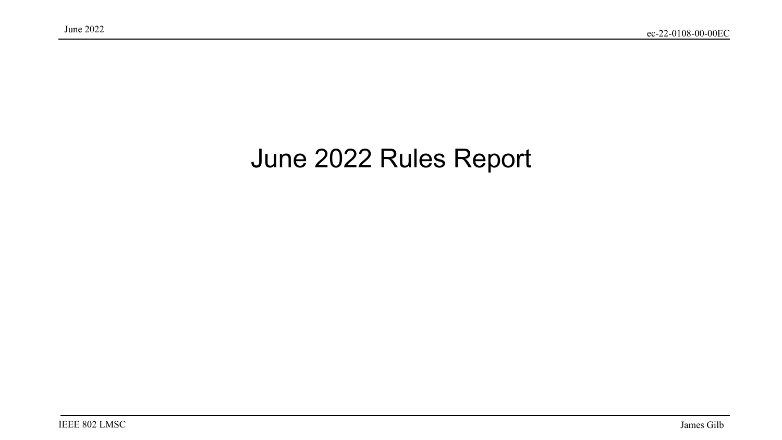#### June 2022 Rules Report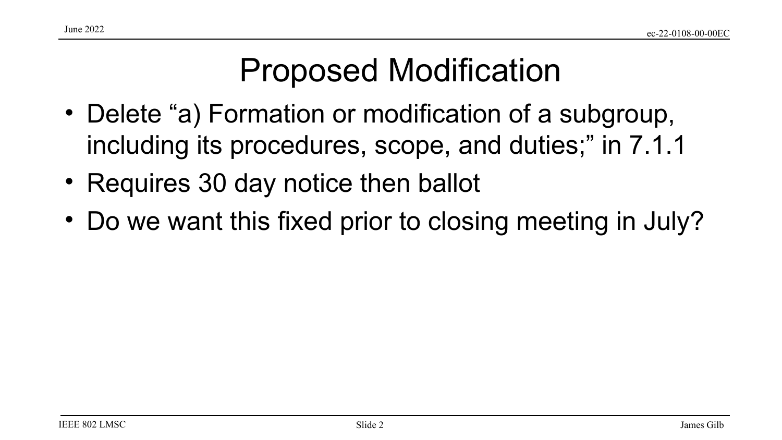## Proposed Modification

- Delete "a) Formation or modification of a subgroup, including its procedures, scope, and duties;" in 7.1.1
- Requires 30 day notice then ballot
- Do we want this fixed prior to closing meeting in July?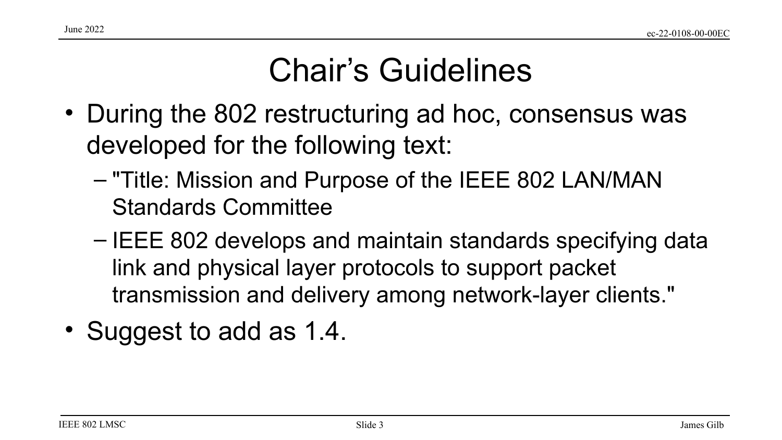## Chair's Guidelines

- During the 802 restructuring ad hoc, consensus was developed for the following text:
	- "Title: Mission and Purpose of the IEEE 802 LAN/MAN Standards Committee
	- IEEE 802 develops and maintain standards specifying data link and physical layer protocols to support packet transmission and delivery among network-layer clients."
- Suggest to add as 1.4.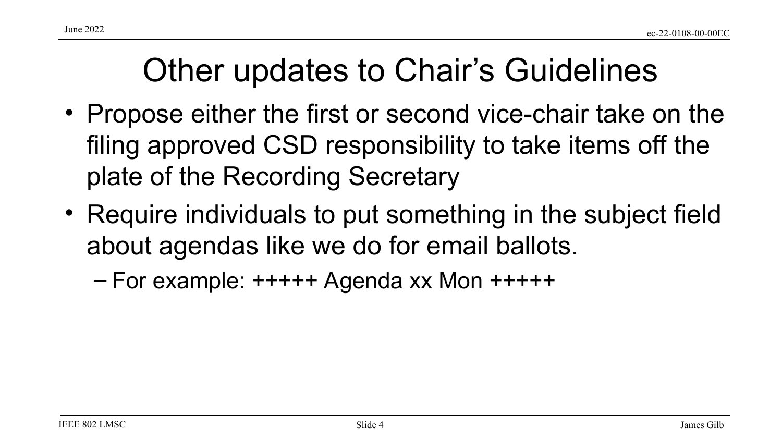### Other updates to Chair's Guidelines

- Propose either the first or second vice-chair take on the filing approved CSD responsibility to take items off the plate of the Recording Secretary
- Require individuals to put something in the subject field about agendas like we do for email ballots.
	- For example: +++++ Agenda xx Mon +++++